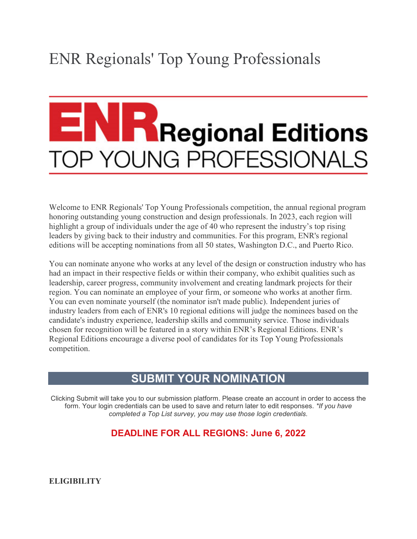# ENR Regionals' Top Young Professionals

# **Regional Editions** <sup>2</sup> YOUNG PROFESSIONALS

Welcome to ENR Regionals' Top Young Professionals competition, the annual regional program honoring outstanding young construction and design professionals. In 2023, each region will highlight a group of individuals under the age of 40 who represent the industry's top rising leaders by giving back to their industry and communities. For this program, ENR's regional editions will be accepting nominations from all 50 states, Washington D.C., and Puerto Rico.

You can nominate anyone who works at any level of the design or construction industry who has had an impact in their respective fields or within their company, who exhibit qualities such as leadership, career progress, community involvement and creating landmark projects for their region. You can nominate an employee of your firm, or someone who works at another firm. You can even nominate yourself (the nominator isn't made public). Independent juries of industry leaders from each of ENR's 10 regional editions will judge the nominees based on the candidate's industry experience, leadership skills and community service. Those individuals chosen for recognition will be featured in a story within ENR's Regional Editions. ENR's Regional Editions encourage a diverse pool of candidates for its Top Young Professionals competition.

# **[SUBMIT YOUR NOMINATION](https://enr.secure-platform.com/a/solicitations/233/home)**

Clicking Submit will take you to our submission platform. Please create an account in order to access the form. Your login credentials can be used to save and return later to edit responses. *\*If you have completed a Top List survey, you may use those login credentials.*

## **DEADLINE FOR ALL REGIONS: June 6, 2022**

**ELIGIBILITY**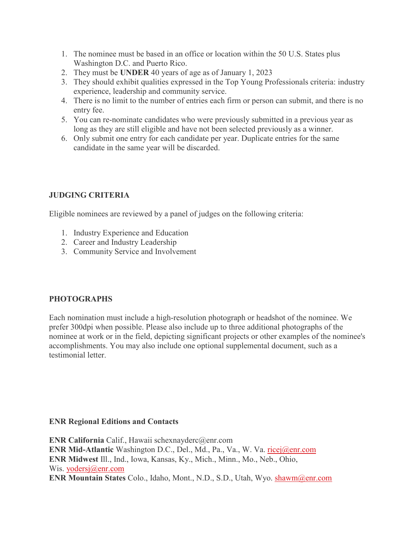- 1. The nominee must be based in an office or location within the 50 U.S. States plus Washington D.C. and Puerto Rico.
- 2. They must be **UNDER** 40 years of age as of January 1, 2023
- 3. They should exhibit qualities expressed in the Top Young Professionals criteria: industry experience, leadership and community service.
- 4. There is no limit to the number of entries each firm or person can submit, and there is no entry fee.
- 5. You can re-nominate candidates who were previously submitted in a previous year as long as they are still eligible and have not been selected previously as a winner.
- 6. Only submit one entry for each candidate per year. Duplicate entries for the same candidate in the same year will be discarded.

### **JUDGING CRITERIA**

Eligible nominees are reviewed by a panel of judges on the following criteria:

- 1. Industry Experience and Education
- 2. Career and Industry Leadership
- 3. Community Service and Involvement

### **PHOTOGRAPHS**

Each nomination must include a high-resolution photograph or headshot of the nominee. We prefer 300dpi when possible. Please also include up to three additional photographs of the nominee at work or in the field, depicting significant projects or other examples of the nominee's accomplishments. You may also include one optional supplemental document, such as a testimonial letter.

#### **ENR Regional Editions and Contacts**

**ENR California** Calif., Hawaii schexnayderc@enr.com **ENR Mid-Atlantic** Washington D.C., Del., Md., Pa., Va., W. Va. [ricej@enr.com](mailto:ricej@enr.com) **ENR Midwest** Ill., Ind., Iowa, Kansas, Ky., Mich., Minn., Mo., Neb., Ohio, Wis. [yodersj@enr.com](mailto:yodersj@enr.com) **ENR Mountain States** Colo., Idaho, Mont., N.D., S.D., Utah, Wyo. [shawm@enr.com](mailto:shawm@enr.com)